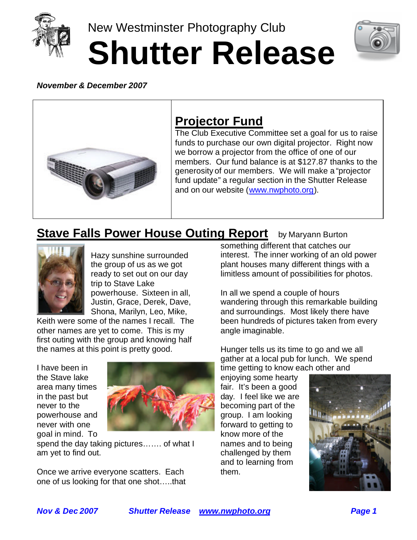

New Westminster Photography Club **Shutter Release**



#### *November & December 2007*



# **Projector Fund**

The Club Executive Committee set a goal for us to raise funds to purchase our own digital projector. Right now we borrow a projector from the office of one of our members. Our fund balance is at \$127.87 thanks to the generosity of our members. We will make a "projector fund update" a regular section in the Shutter Release and on our website (www.nwphoto.org).

# **Stave Falls Power House Outing Report** by Maryann Burton



Hazy sunshine surrounded the group of us as we got ready to set out on our day trip to Stave Lake powerhouse. Sixteen in all, Justin, Grace, Derek, Dave, Shona, Marilyn, Leo, Mike,

Keith were some of the names I recall. The other names are yet to come. This is my first outing with the group and knowing half the names at this point is pretty good.

I have been in the Stave lake area many times in the past but never to the powerhouse and never with one goal in mind. To



spend the day taking pictures……. of what I am yet to find out.

Once we arrive everyone scatters. Each one of us looking for that one shot…..that something different that catches our interest. The inner working of an old power plant houses many different things with a limitless amount of possibilities for photos.

In all we spend a couple of hours wandering through this remarkable building and surroundings. Most likely there have been hundreds of pictures taken from every angle imaginable.

Hunger tells us its time to go and we all gather at a local pub for lunch. We spend time getting to know each other and

enjoying some hearty fair. It's been a good day. I feel like we are becoming part of the group. I am looking forward to getting to know more of the names and to being challenged by them and to learning from them.

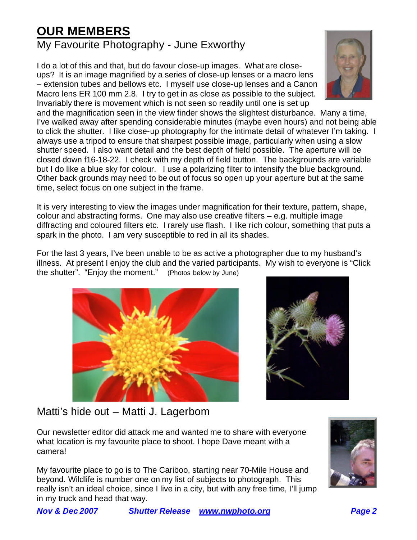# **OUR MEMBERS**

### My Favourite Photography - June Exworthy

I do a lot of this and that, but do favour close-up images. What are closeups? It is an image magnified by a series of close-up lenses or a macro lens – extension tubes and bellows etc. I myself use close-up lenses and a Canon Macro lens ER 100 mm 2.8. I try to get in as close as possible to the subject. Invariably there is movement which is not seen so readily until one is set up



and the magnification seen in the view finder shows the slightest disturbance. Many a time, I've walked away after spending considerable minutes (maybe even hours) and not being able to click the shutter. I like close-up photography for the intimate detail of whatever I'm taking. I always use a tripod to ensure that sharpest possible image, particularly when using a slow shutter speed. I also want detail and the best depth of field possible. The aperture will be closed down f16-18-22. I check with my depth of field button. The backgrounds are variable but I do like a blue sky for colour. I use a polarizing filter to intensify the blue background. Other back grounds may need to be out of focus so open up your aperture but at the same time, select focus on one subject in the frame.

It is very interesting to view the images under magnification for their texture, pattern, shape, colour and abstracting forms. One may also use creative filters – e.g. multiple image diffracting and coloured filters etc. I rarely use flash. I like rich colour, something that puts a spark in the photo. I am very susceptible to red in all its shades.

For the last 3 years, I've been unable to be as active a photographer due to my husband's illness. At present I enjoy the club and the varied participants. My wish to everyone is "Click the shutter". "Enjoy the moment." (Photos below by June)





Matti's hide out – Matti J. Lagerbom

Our newsletter editor did attack me and wanted me to share with everyone what location is my favourite place to shoot. I hope Dave meant with a camera!

My favourite place to go is to The Cariboo, starting near 70-Mile House and beyond. Wildlife is number one on my list of subjects to photograph. This really isn't an ideal choice, since I live in a city, but with any free time, I'll jump in my truck and head that way.

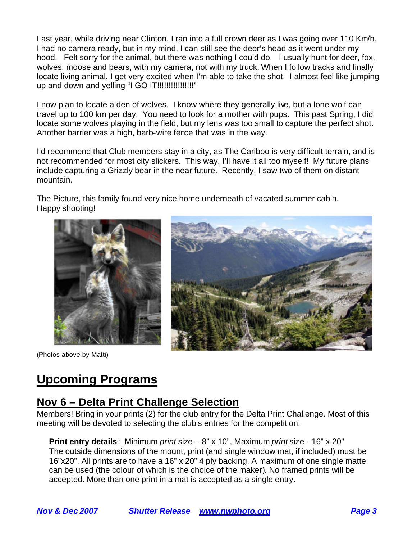Last year, while driving near Clinton, I ran into a full crown deer as I was going over 110 Km/h. I had no camera ready, but in my mind, I can still see the deer's head as it went under my hood. Felt sorry for the animal, but there was nothing I could do. I usually hunt for deer, fox, wolves, moose and bears, with my camera, not with my truck. When I follow tracks and finally locate living animal, I get very excited when I'm able to take the shot. I almost feel like jumping up and down and yelling "I GO IT!!!!!!!!!!!!!!!!"

I now plan to locate a den of wolves. I know where they generally live, but a lone wolf can travel up to 100 km per day. You need to look for a mother with pups. This past Spring, I did locate some wolves playing in the field, but my lens was too small to capture the perfect shot. Another barrier was a high, barb-wire fence that was in the way.

I'd recommend that Club members stay in a city, as The Cariboo is very difficult terrain, and is not recommended for most city slickers. This way, I'll have it all too myself! My future plans include capturing a Grizzly bear in the near future. Recently, I saw two of them on distant mountain.

The Picture, this family found very nice home underneath of vacated summer cabin. Happy shooting!

![](_page_2_Picture_4.jpeg)

(Photos above by Matti)

![](_page_2_Picture_6.jpeg)

# **Upcoming Programs**

#### **Nov 6 – Delta Print Challenge Selection**

Members! Bring in your prints (2) for the club entry for the Delta Print Challenge. Most of this meeting will be devoted to selecting the club's entries for the competition.

**Print entry details**: Minimum *print* size – 8" x 10", Maximum *print* size - 16" x 20" The outside dimensions of the mount, print (and single window mat, if included) must be 16"x20". All prints are to have a 16" x 20" 4 ply backing. A maximum of one single matte can be used (the colour of which is the choice of the maker). No framed prints will be accepted. More than one print in a mat is accepted as a single entry.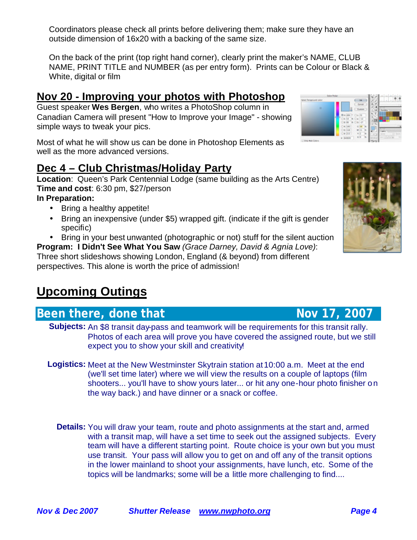Coordinators please check all prints before delivering them; make sure they have an outside dimension of 16x20 with a backing of the same size.

On the back of the print (top right hand corner), clearly print the maker's NAME, CLUB NAME, PRINT TITLE and NUMBER (as per entry form). Prints can be Colour or Black & White, digital or film

### **Nov 20 - Improving your photos with Photoshop**

Guest speaker **Wes Bergen**, who writes a PhotoShop column in Canadian Camera will present "How to Improve your Image" - showing simple ways to tweak your pics.

Most of what he will show us can be done in Photoshop Elements as well as the more advanced versions.

## **Dec 4 – Club Christmas/Holiday Party**

**Location**: Queen's Park Centennial Lodge (same building as the Arts Centre) **Time and cost**: 6:30 pm, \$27/person

#### **In Preparation:**

- Bring a healthy appetite!
- Bring an inexpensive (under \$5) wrapped gift. (indicate if the gift is gender specific)
- Bring in your best unwanted (photographic or not) stuff for the silent auction

**Program: I Didn't See What You Saw** *(Grace Darney, David & Agnia Love)*: Three short slideshows showing London, England (& beyond) from different perspectives. This alone is worth the price of admission!

# **Upcoming Outings**

## **Been there, done that Nov 17, 2007**

- **Subjects:** An \$8 transit day-pass and teamwork will be requirements for this transit rally. Photos of each area will prove you have covered the assigned route, but we still expect you to show your skill and creativity!
- **Logistics:** Meet at the New Westminster Skytrain station at 10:00 a.m. Meet at the end (we'll set time later) where we will view the results on a couple of laptops (film shooters... you'll have to show yours later... or hit any one-hour photo finisher on the way back.) and have dinner or a snack or coffee.
	- **Details:** You will draw your team, route and photo assignments at the start and, armed with a transit map, will have a set time to seek out the assigned subjects. Every team will have a different starting point. Route choice is your own but you must use transit. Your pass will allow you to get on and off any of the transit options in the lower mainland to shoot your assignments, have lunch, etc. Some of the topics will be landmarks; some will be a little more challenging to find....

![](_page_3_Picture_19.jpeg)

![](_page_3_Picture_20.jpeg)

![](_page_3_Picture_21.jpeg)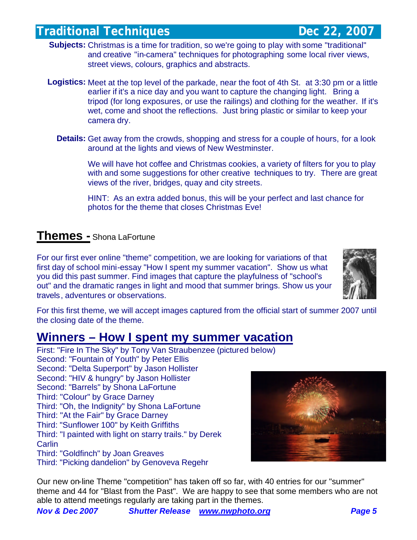### **Traditional Techniques Community Community Community Dec 22, 2007**

- **Subjects:** Christmas is a time for tradition, so we're going to play with some "traditional" and creative "in-camera" techniques for photographing some local river views, street views, colours, graphics and abstracts.
- **Logistics:** Meet at the top level of the parkade, near the foot of 4th St. at 3:30 pm or a little earlier if it's a nice day and you want to capture the changing light. Bring a tripod (for long exposures, or use the railings) and clothing for the weather. If it's wet, come and shoot the reflections. Just bring plastic or similar to keep your camera dry.
	- **Details:** Get away from the crowds, shopping and stress for a couple of hours, for a look around at the lights and views of New Westminster.

We will have hot coffee and Christmas cookies, a variety of filters for you to play with and some suggestions for other creative techniques to try. There are great views of the river, bridges, quay and city streets.

HINT: As an extra added bonus, this will be your perfect and last chance for photos for the theme that closes Christmas Eve!

#### **Themes -** Shona LaFortune

For our first ever online "theme" competition, we are looking for variations of that first day of school mini-essay "How I spent my summer vacation". Show us what you did this past summer. Find images that capture the playfulness of "school's out" and the dramatic ranges in light and mood that summer brings. Show us your travels, adventures or observations.

![](_page_4_Picture_9.jpeg)

For this first theme, we will accept images captured from the official start of summer 2007 until the closing date of the theme.

## **Winners – How I spent my summer vacation**

First: "Fire In The Sky" by Tony Van Straubenzee (pictured below) Second: "Fountain of Youth" by Peter Ellis Second: "Delta Superport" by Jason Hollister Second: "HIV & hungry" by Jason Hollister Second: "Barrels" by Shona LaFortune Third: "Colour" by Grace Darney Third: "Oh, the Indignity" by Shona LaFortune Third: "At the Fair" by Grace Darney Third: "Sunflower 100" by Keith Griffiths Third: "I painted with light on starry trails." by Derek **Carlin** Third: "Goldfinch" by Joan Greaves Third: "Picking dandelion" by Genoveva Regehr

![](_page_4_Picture_13.jpeg)

Our new on-line Theme "competition" has taken off so far, with 40 entries for our "summer" theme and 44 for "Blast from the Past". We are happy to see that some members who are not able to attend meetings regularly are taking part in the themes.